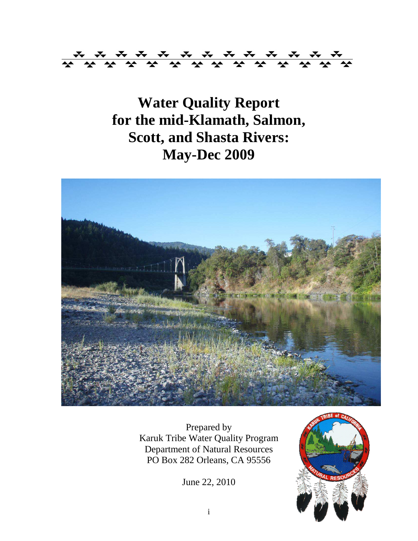

**Water Quality Report for the mid-Klamath, Salmon, Scott, and Shasta Rivers: May-Dec 2009** 



Prepared by Karuk Tribe Water Quality Program Department of Natural Resources PO Box 282 Orleans, CA 95556

June 22, 2010

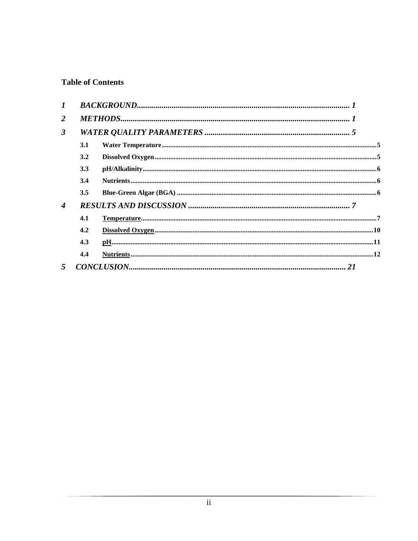## **Table of Contents**

| $\bm{I}$                  |     |  |
|---------------------------|-----|--|
| 2                         |     |  |
| $\mathbf{3}$              |     |  |
|                           | 3.1 |  |
|                           | 3.2 |  |
|                           | 3.3 |  |
|                           | 3.4 |  |
|                           | 3.5 |  |
| $\boldsymbol{\varLambda}$ |     |  |
|                           | 4.1 |  |
|                           | 4.2 |  |
|                           | 4.3 |  |
|                           | 4.4 |  |
| $\mathfrak{F}$            |     |  |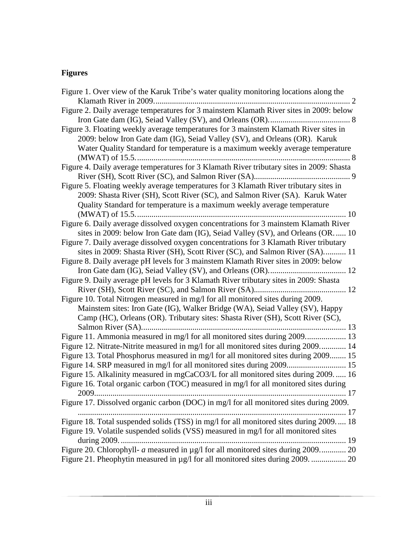# **Figures**

| Figure 1. Over view of the Karuk Tribe's water quality monitoring locations along the    |
|------------------------------------------------------------------------------------------|
| Figure 2. Daily average temperatures for 3 mainstem Klamath River sites in 2009: below   |
|                                                                                          |
| Figure 3. Floating weekly average temperatures for 3 mainstem Klamath River sites in     |
| 2009: below Iron Gate dam (IG), Seiad Valley (SV), and Orleans (OR). Karuk               |
| Water Quality Standard for temperature is a maximum weekly average temperature           |
|                                                                                          |
| Figure 4. Daily average temperatures for 3 Klamath River tributary sites in 2009: Shasta |
|                                                                                          |
| Figure 5. Floating weekly average temperatures for 3 Klamath River tributary sites in    |
| 2009: Shasta River (SH), Scott River (SC), and Salmon River (SA). Karuk Water            |
| Quality Standard for temperature is a maximum weekly average temperature                 |
|                                                                                          |
| Figure 6. Daily average dissolved oxygen concentrations for 3 mainstem Klamath River     |
| sites in 2009: below Iron Gate dam (IG), Seiad Valley (SV), and Orleans (OR 10           |
| Figure 7. Daily average dissolved oxygen concentrations for 3 Klamath River tributary    |
| sites in 2009: Shasta River (SH), Scott River (SC), and Salmon River (SA) 11             |
| Figure 8. Daily average pH levels for 3 mainstem Klamath River sites in 2009: below      |
|                                                                                          |
| Figure 9. Daily average pH levels for 3 Klamath River tributary sites in 2009: Shasta    |
|                                                                                          |
| Figure 10. Total Nitrogen measured in mg/l for all monitored sites during 2009.          |
| Mainstem sites: Iron Gate (IG), Walker Bridge (WA), Seiad Valley (SV), Happy             |
| Camp (HC), Orleans (OR). Tributary sites: Shasta River (SH), Scott River (SC),           |
|                                                                                          |
|                                                                                          |
| Figure 12. Nitrate-Nitrite measured in mg/l for all monitored sites during 2009 14       |
| Figure 13. Total Phosphorus measured in mg/l for all monitored sites during 2009 15      |
|                                                                                          |
| Figure 15. Alkalinity measured in mgCaCO3/L for all monitored sites during 2009 16       |
| Figure 16. Total organic carbon (TOC) measured in mg/l for all monitored sites during    |
| 17                                                                                       |
| Figure 17. Dissolved organic carbon (DOC) in mg/l for all monitored sites during 2009.   |
|                                                                                          |
| Figure 18. Total suspended solids (TSS) in mg/l for all monitored sites during 2009 18   |
| Figure 19. Volatile suspended solids (VSS) measured in mg/l for all monitored sites      |
|                                                                                          |
| Figure 20. Chlorophyll- a measured in µg/l for all monitored sites during 2009 20        |
| Figure 21. Pheophytin measured in µg/l for all monitored sites during 2009.  20          |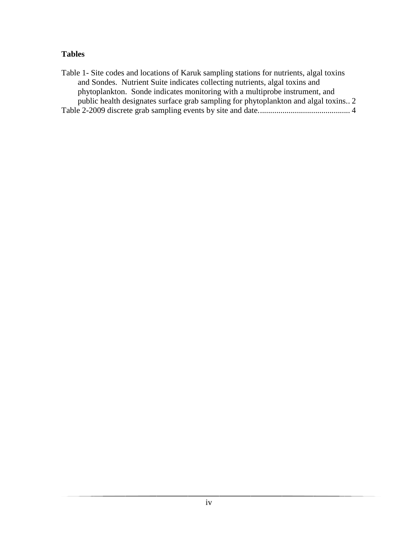### **Tables**

Table 1- Site codes and locations of Karuk sampling stations for nutrients, algal toxins and Sondes. Nutrient Suite indicates collecting nutrients, algal toxins and phytoplankton. Sonde indicates monitoring with a multiprobe instrument, and public health designates surface grab sampling for phytoplankton and algal toxins.. 2 Table 2-2009 discrete grab sampling events by site and date............................................. 4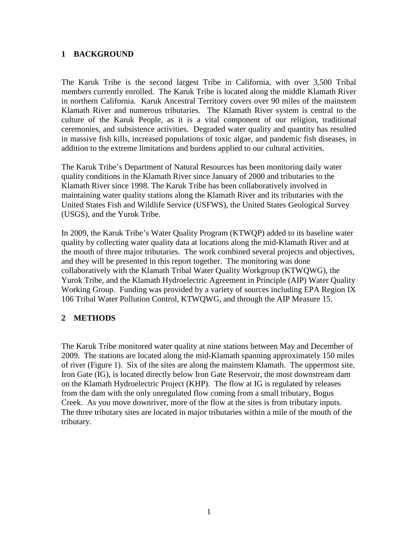#### **1 BACKGROUND**

The Karuk Tribe is the second largest Tribe in California, with over 3,500 Tribal members currently enrolled. The Karuk Tribe is located along the middle Klamath River in northern California. Karuk Ancestral Territory covers over 90 miles of the mainstem Klamath River and numerous tributaries. The Klamath River system is central to the culture of the Karuk People, as it is a vital component of our religion, traditional ceremonies, and subsistence activities. Degraded water quality and quantity has resulted in massive fish kills, increased populations of toxic algae, and pandemic fish diseases, in addition to the extreme limitations and burdens applied to our cultural activities.

The Karuk Tribe's Department of Natural Resources has been monitoring daily water quality conditions in the Klamath River since January of 2000 and tributaries to the Klamath River since 1998. The Karuk Tribe has been collaboratively involved in maintaining water quality stations along the Klamath River and its tributaries with the United States Fish and Wildlife Service (USFWS), the United States Geological Survey (USGS), and the Yurok Tribe.

In 2009, the Karuk Tribe's Water Quality Program (KTWQP) added to its baseline water quality by collecting water quality data at locations along the mid-Klamath River and at the mouth of three major tributaries. The work combined several projects and objectives, and they will be presented in this report together. The monitoring was done collaboratively with the Klamath Tribal Water Quality Workgroup (KTWQWG), the Yurok Tribe, and the Klamath Hydroelectric Agreement in Principle (AIP) Water Quality Working Group. Funding was provided by a variety of sources including EPA Region IX 106 Tribal Water Pollution Control, KTWQWG, and through the AIP Measure 15.

#### **2 METHODS**

The Karuk Tribe monitored water quality at nine stations between May and December of 2009. The stations are located along the mid-Klamath spanning approximately 150 miles of river (Figure 1). Six of the sites are along the mainstem Klamath. The uppermost site, Iron Gate (IG), is located directly below Iron Gate Reservoir, the most downstream dam on the Klamath Hydroelectric Project (KHP). The flow at IG is regulated by releases from the dam with the only unregulated flow coming from a small tributary, Bogus Creek. As you move downriver, more of the flow at the sites is from tributary inputs. The three tributary sites are located in major tributaries within a mile of the mouth of the tributary.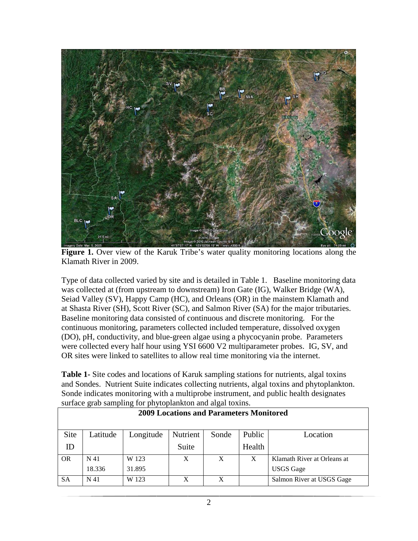

**Figure 1.** Over view of the Karuk Tribe's water quality monitoring locations along the Klamath River in 2009.

Type of data collected varied by site and is detailed in Table 1. Baseline monitoring data was collected at (from upstream to downstream) Iron Gate (IG), Walker Bridge (WA), Seiad Valley (SV), Happy Camp (HC), and Orleans (OR) in the mainstem Klamath and at Shasta River (SH), Scott River (SC), and Salmon River (SA) for the major tributaries. Baseline monitoring data consisted of continuous and discrete monitoring. For the continuous monitoring, parameters collected included temperature, dissolved oxygen (DO), pH, conductivity, and blue-green algae using a phycocyanin probe. Parameters were collected every half hour using YSI 6600 V2 multiparameter probes. IG, SV, and OR sites were linked to satellites to allow real time monitoring via the internet.

**Table 1-** Site codes and locations of Karuk sampling stations for nutrients, algal toxins and Sondes. Nutrient Suite indicates collecting nutrients, algal toxins and phytoplankton. Sonde indicates monitoring with a multiprobe instrument, and public health designates surface grab sampling for phytoplankton and algal toxins.

| <b>2009 Locations and Parameters Monitored</b> |          |        |       |   |              |                             |  |  |  |  |
|------------------------------------------------|----------|--------|-------|---|--------------|-----------------------------|--|--|--|--|
| Site                                           | Location |        |       |   |              |                             |  |  |  |  |
| ID                                             |          |        | Suite |   | Health       |                             |  |  |  |  |
| <b>OR</b>                                      | N 41     | W 123  | X     | X | $\mathbf{X}$ | Klamath River at Orleans at |  |  |  |  |
|                                                | 18.336   | 31.895 |       |   |              | <b>USGS</b> Gage            |  |  |  |  |
| <b>SA</b>                                      | N 41     | W 123  | X     | X |              | Salmon River at USGS Gage   |  |  |  |  |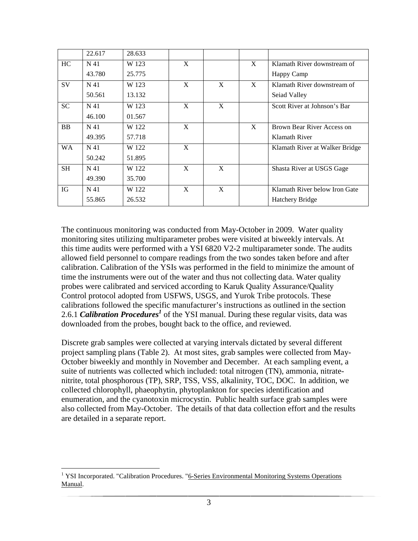|           | 22.617          | 28.633 |   |   |   |                                |
|-----------|-----------------|--------|---|---|---|--------------------------------|
| HC        | N <sub>41</sub> | W 123  | X |   | X | Klamath River downstream of    |
|           | 43.780          | 25.775 |   |   |   | Happy Camp                     |
| <b>SV</b> | N 41            | W 123  | X | X | X | Klamath River downstream of    |
|           | 50.561          | 13.132 |   |   |   | Seiad Valley                   |
| <b>SC</b> | N 41            | W 123  | X | X |   | Scott River at Johnson's Bar   |
|           | 46.100          | 01.567 |   |   |   |                                |
| <b>BB</b> | N 41            | W 122  | X |   | X | Brown Bear River Access on     |
|           | 49.395          | 57.718 |   |   |   | Klamath River                  |
| <b>WA</b> | N 41            | W 122  | X |   |   | Klamath River at Walker Bridge |
|           | 50.242          | 51.895 |   |   |   |                                |
| <b>SH</b> | N 41            | W 122  | X | X |   | Shasta River at USGS Gage      |
|           | 49.390          | 35.700 |   |   |   |                                |
| IG        | N 41            | W 122  | X | X |   | Klamath River below Iron Gate  |
|           | 55.865          | 26.532 |   |   |   | <b>Hatchery Bridge</b>         |

The continuous monitoring was conducted from May-October in 2009. Water quality monitoring sites utilizing multiparameter probes were visited at biweekly intervals. At this time audits were performed with a YSI 6820 V2-2 multiparameter sonde. The audits allowed field personnel to compare readings from the two sondes taken before and after calibration. Calibration of the YSIs was performed in the field to minimize the amount of time the instruments were out of the water and thus not collecting data. Water quality probes were calibrated and serviced according to Karuk Quality Assurance/Quality Control protocol adopted from USFWS, USGS, and Yurok Tribe protocols. These calibrations followed the specific manufacturer's instructions as outlined in the section 2.6.1 **Calibration Procedures<sup>1</sup>** of the YSI manual. During these regular visits, data was downloaded from the probes, bought back to the office, and reviewed.

Discrete grab samples were collected at varying intervals dictated by several different project sampling plans (Table 2). At most sites, grab samples were collected from May-October biweekly and monthly in November and December. At each sampling event, a suite of nutrients was collected which included: total nitrogen (TN), ammonia, nitratenitrite, total phosphorous (TP), SRP, TSS, VSS, alkalinity, TOC, DOC. In addition, we collected chlorophyll, phaeophytin, phytoplankton for species identification and enumeration, and the cyanotoxin microcystin. Public health surface grab samples were also collected from May-October. The details of that data collection effort and the results are detailed in a separate report.

<sup>&</sup>lt;u>.</u> <sup>1</sup> YSI Incorporated. "Calibration Procedures. "6-Series Environmental Monitoring Systems Operations Manual.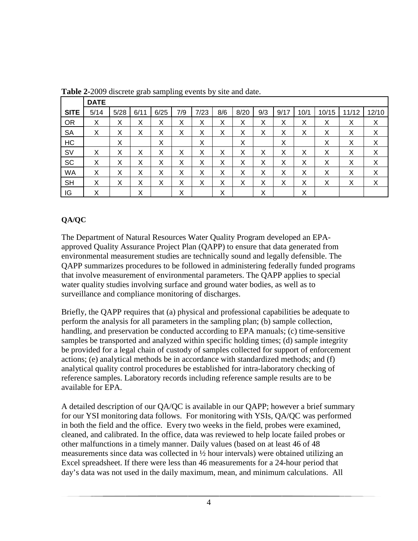|             | <b>DATE</b> |      |      |      |     |      |     |      |     |      |      |       |       |       |
|-------------|-------------|------|------|------|-----|------|-----|------|-----|------|------|-------|-------|-------|
| <b>SITE</b> | 5/14        | 5/28 | 6/11 | 6/25 | 7/9 | 7/23 | 8/6 | 8/20 | 9/3 | 9/17 | 10/1 | 10/15 | 11/12 | 12/10 |
| <b>OR</b>   | X           | X    | Χ    | X    | Χ   | X    | X   | X    | Χ   | X    | Χ    | X     | Χ     | X     |
| <b>SA</b>   | X           | Х    | Χ    | Х    | Χ   | Х    | Χ   | Х    | х   | Х    | Χ    | Х     | Х     | X     |
| HC          |             | X    |      | X    |     | X    |     | X    |     | X    |      | Χ     | Χ     | X     |
| <b>SV</b>   | X           | X    | X    | X    | X   | X    | X   | X    | Χ   | X    | Χ    | X     | Χ     | X     |
| SC          | X           | X    | X    | X    | X   | X    | X   | X    | Χ   | X    | Χ    | X     | Χ     | X     |
| <b>WA</b>   | X           | X    | Χ    | X    | Χ   | Χ    | X   | Χ    | X   | X    | X    | X     | Х     | X     |
| <b>SH</b>   | X           | X    | Χ    | X    | X   | X    | X   | Χ    | Χ   | X    | Χ    | X     | Χ     | X     |
| IG          | X           |      | Χ    |      | Χ   |      | Χ   |      | Χ   |      | X    |       |       |       |

**Table 2-**2009 discrete grab sampling events by site and date.

## **QA/QC**

The Department of Natural Resources Water Quality Program developed an EPAapproved Quality Assurance Project Plan (QAPP) to ensure that data generated from environmental measurement studies are technically sound and legally defensible. The QAPP summarizes procedures to be followed in administering federally funded programs that involve measurement of environmental parameters. The QAPP applies to special water quality studies involving surface and ground water bodies, as well as to surveillance and compliance monitoring of discharges.

Briefly, the QAPP requires that (a) physical and professional capabilities be adequate to perform the analysis for all parameters in the sampling plan; (b) sample collection, handling, and preservation be conducted according to EPA manuals; (c) time-sensitive samples be transported and analyzed within specific holding times; (d) sample integrity be provided for a legal chain of custody of samples collected for support of enforcement actions; (e) analytical methods be in accordance with standardized methods; and (f) analytical quality control procedures be established for intra-laboratory checking of reference samples. Laboratory records including reference sample results are to be available for EPA.

A detailed description of our QA/QC is available in our QAPP; however a brief summary for our YSI monitoring data follows. For monitoring with YSIs, QA/QC was performed in both the field and the office. Every two weeks in the field, probes were examined, cleaned, and calibrated. In the office, data was reviewed to help locate failed probes or other malfunctions in a timely manner. Daily values (based on at least 46 of 48 measurements since data was collected in ½ hour intervals) were obtained utilizing an Excel spreadsheet. If there were less than 46 measurements for a 24-hour period that day's data was not used in the daily maximum, mean, and minimum calculations. All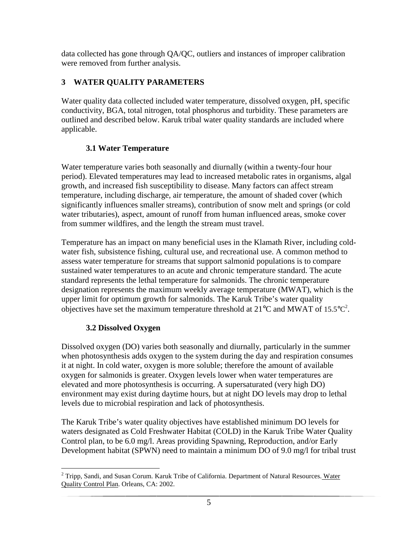data collected has gone through QA/QC, outliers and instances of improper calibration were removed from further analysis.

## **3 WATER QUALITY PARAMETERS**

Water quality data collected included water temperature, dissolved oxygen, pH, specific conductivity, BGA, total nitrogen, total phosphorus and turbidity. These parameters are outlined and described below. Karuk tribal water quality standards are included where applicable.

## **3.1 Water Temperature**

Water temperature varies both seasonally and diurnally (within a twenty-four hour period). Elevated temperatures may lead to increased metabolic rates in organisms, algal growth, and increased fish susceptibility to disease. Many factors can affect stream temperature, including discharge, air temperature, the amount of shaded cover (which significantly influences smaller streams), contribution of snow melt and springs (or cold water tributaries), aspect, amount of runoff from human influenced areas, smoke cover from summer wildfires, and the length the stream must travel.

Temperature has an impact on many beneficial uses in the Klamath River, including coldwater fish, subsistence fishing, cultural use, and recreational use. A common method to assess water temperature for streams that support salmonid populations is to compare sustained water temperatures to an acute and chronic temperature standard. The acute standard represents the lethal temperature for salmonids. The chronic temperature designation represents the maximum weekly average temperature (MWAT), which is the upper limit for optimum growth for salmonids. The Karuk Tribe's water quality objectives have set the maximum temperature threshold at  $21^{\circ}$ C and MWAT of 15.5 $^{\circ}$ C<sup>2</sup>.

# **3.2 Dissolved Oxygen**

Dissolved oxygen (DO) varies both seasonally and diurnally, particularly in the summer when photosynthesis adds oxygen to the system during the day and respiration consumes it at night. In cold water, oxygen is more soluble; therefore the amount of available oxygen for salmonids is greater. Oxygen levels lower when water temperatures are elevated and more photosynthesis is occurring. A supersaturated (very high DO) environment may exist during daytime hours, but at night DO levels may drop to lethal levels due to microbial respiration and lack of photosynthesis.

The Karuk Tribe's water quality objectives have established minimum DO levels for waters designated as Cold Freshwater Habitat (COLD) in the Karuk Tribe Water Quality Control plan, to be 6.0 mg/l. Areas providing Spawning, Reproduction, and/or Early Development habitat (SPWN) need to maintain a minimum DO of 9.0 mg/l for tribal trust

 $\overline{a}$ <sup>2</sup> Tripp, Sandi, and Susan Corum. Karuk Tribe of California. Department of Natural Resources. Water Quality Control Plan. Orleans, CA: 2002.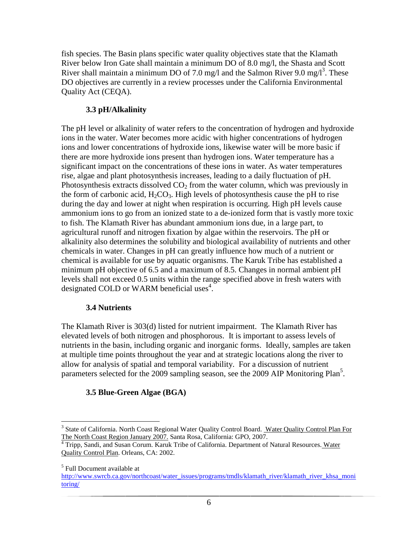fish species. The Basin plans specific water quality objectives state that the Klamath River below Iron Gate shall maintain a minimum DO of 8.0 mg/l, the Shasta and Scott River shall maintain a minimum DO of 7.0 mg/l and the Salmon River 9.0 mg/l<sup>3</sup>. These DO objectives are currently in a review processes under the California Environmental Quality Act (CEQA).

### **3.3 pH/Alkalinity**

The pH level or alkalinity of water refers to the concentration of hydrogen and hydroxide ions in the water. Water becomes more acidic with higher concentrations of hydrogen ions and lower concentrations of hydroxide ions, likewise water will be more basic if there are more hydroxide ions present than hydrogen ions. Water temperature has a significant impact on the concentrations of these ions in water. As water temperatures rise, algae and plant photosynthesis increases, leading to a daily fluctuation of pH. Photosynthesis extracts dissolved  $CO<sub>2</sub>$  from the water column, which was previously in the form of carbonic acid,  $H_2CO_3$ . High levels of photosynthesis cause the pH to rise during the day and lower at night when respiration is occurring. High pH levels cause ammonium ions to go from an ionized state to a de-ionized form that is vastly more toxic to fish. The Klamath River has abundant ammonium ions due, in a large part, to agricultural runoff and nitrogen fixation by algae within the reservoirs. The pH or alkalinity also determines the solubility and biological availability of nutrients and other chemicals in water. Changes in pH can greatly influence how much of a nutrient or chemical is available for use by aquatic organisms. The Karuk Tribe has established a minimum pH objective of 6.5 and a maximum of 8.5. Changes in normal ambient pH levels shall not exceed 0.5 units within the range specified above in fresh waters with designated COLD or WARM beneficial uses<sup>4</sup>.

## **3.4 Nutrients**

The Klamath River is 303(d) listed for nutrient impairment. The Klamath River has elevated levels of both nitrogen and phosphorous. It is important to assess levels of nutrients in the basin, including organic and inorganic forms. Ideally, samples are taken at multiple time points throughout the year and at strategic locations along the river to allow for analysis of spatial and temporal variability. For a discussion of nutrient parameters selected for the 2009 sampling season, see the 2009 AIP Monitoring Plan<sup>5</sup>.

## **3.5 Blue-Green Algae (BGA)**

<sup>3&</sup>lt;br><sup>3</sup> State of California. North Coast Regional Water Quality Control Board. Water Quality Control Plan For The North Coast Region January 2007. Santa Rosa, California: GPO, 2007.

<sup>4</sup> Tripp, Sandi, and Susan Corum. Karuk Tribe of California. Department of Natural Resources. Water Quality Control Plan. Orleans, CA: 2002.

<sup>5</sup> Full Document available at

http://www.swrcb.ca.gov/northcoast/water\_issues/programs/tmdls/klamath\_river/klamath\_river\_khsa\_moni toring/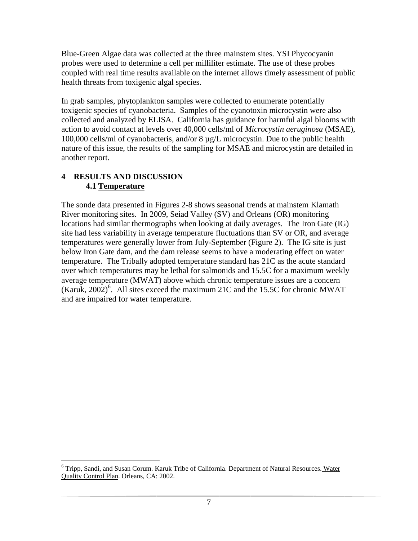Blue-Green Algae data was collected at the three mainstem sites. YSI Phycocyanin probes were used to determine a cell per milliliter estimate. The use of these probes coupled with real time results available on the internet allows timely assessment of public health threats from toxigenic algal species.

In grab samples, phytoplankton samples were collected to enumerate potentially toxigenic species of cyanobacteria. Samples of the cyanotoxin microcystin were also collected and analyzed by ELISA. California has guidance for harmful algal blooms with action to avoid contact at levels over 40,000 cells/ml of *Microcystin aeruginosa* (MSAE), 100,000 cells/ml of cyanobacteris, and/or 8 µg/L microcystin. Due to the public health nature of this issue, the results of the sampling for MSAE and microcystin are detailed in another report.

## **4 RESULTS AND DISCUSSION 4.1 Temperature**

The sonde data presented in Figures 2-8 shows seasonal trends at mainstem Klamath River monitoring sites. In 2009, Seiad Valley (SV) and Orleans (OR) monitoring locations had similar thermographs when looking at daily averages. The Iron Gate (IG) site had less variability in average temperature fluctuations than SV or OR, and average temperatures were generally lower from July-September (Figure 2). The IG site is just below Iron Gate dam, and the dam release seems to have a moderating effect on water temperature. The Tribally adopted temperature standard has 21C as the acute standard over which temperatures may be lethal for salmonids and 15.5C for a maximum weekly average temperature (MWAT) above which chronic temperature issues are a concern (Karuk,  $2002$ )<sup>6</sup>. All sites exceed the maximum 21C and the 15.5C for chronic MWAT and are impaired for water temperature.

<sup>&</sup>lt;u>.</u> <sup>6</sup> Tripp, Sandi, and Susan Corum. Karuk Tribe of California. Department of Natural Resources. Water Quality Control Plan. Orleans, CA: 2002.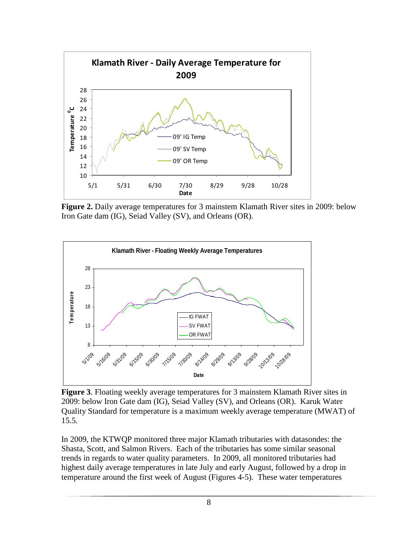

**Figure 2.** Daily average temperatures for 3 mainstem Klamath River sites in 2009: below Iron Gate dam (IG), Seiad Valley (SV), and Orleans (OR).



**Figure 3**. Floating weekly average temperatures for 3 mainstem Klamath River sites in 2009: below Iron Gate dam (IG), Seiad Valley (SV), and Orleans (OR). Karuk Water Quality Standard for temperature is a maximum weekly average temperature (MWAT) of 15.5.

In 2009, the KTWQP monitored three major Klamath tributaries with datasondes: the Shasta, Scott, and Salmon Rivers. Each of the tributaries has some similar seasonal trends in regards to water quality parameters. In 2009, all monitored tributaries had highest daily average temperatures in late July and early August, followed by a drop in temperature around the first week of August (Figures 4-5). These water temperatures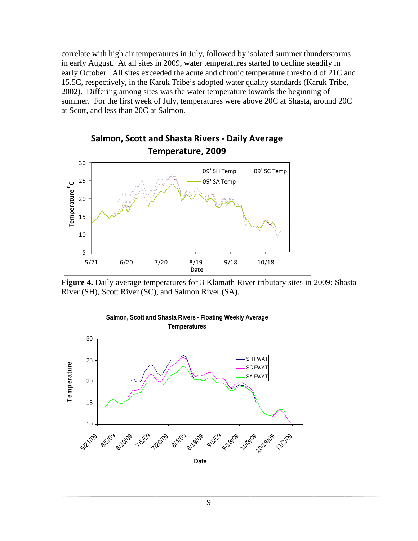correlate with high air temperatures in July, followed by isolated summer thunderstorms in early August. At all sites in 2009, water temperatures started to decline steadily in early October. All sites exceeded the acute and chronic temperature threshold of 21C and 15.5C, respectively, in the Karuk Tribe's adopted water quality standards (Karuk Tribe, 2002). Differing among sites was the water temperature towards the beginning of summer. For the first week of July, temperatures were above 20C at Shasta, around 20C at Scott, and less than 20C at Salmon.



**Figure 4.** Daily average temperatures for 3 Klamath River tributary sites in 2009: Shasta River (SH), Scott River (SC), and Salmon River (SA).

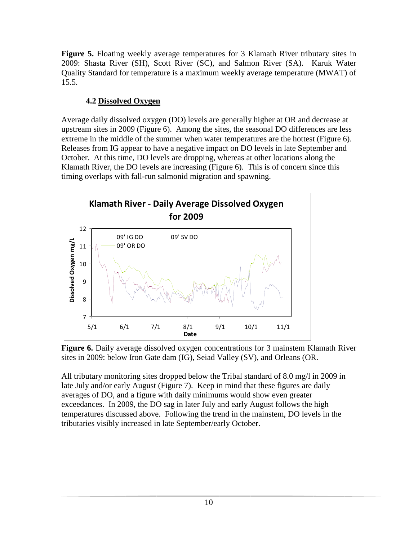**Figure 5.** Floating weekly average temperatures for 3 Klamath River tributary sites in 2009: Shasta River (SH), Scott River (SC), and Salmon River (SA). Karuk Water Quality Standard for temperature is a maximum weekly average temperature (MWAT) of 15.5.

## **4.2 Dissolved Oxygen**

Average daily dissolved oxygen (DO) levels are generally higher at OR and decrease at upstream sites in 2009 (Figure 6). Among the sites, the seasonal DO differences are less extreme in the middle of the summer when water temperatures are the hottest (Figure 6). Releases from IG appear to have a negative impact on DO levels in late September and October. At this time, DO levels are dropping, whereas at other locations along the Klamath River, the DO levels are increasing (Figure 6). This is of concern since this timing overlaps with fall-run salmonid migration and spawning.



**Figure 6.** Daily average dissolved oxygen concentrations for 3 mainstem Klamath River sites in 2009: below Iron Gate dam (IG), Seiad Valley (SV), and Orleans (OR.

All tributary monitoring sites dropped below the Tribal standard of 8.0 mg/l in 2009 in late July and/or early August (Figure 7). Keep in mind that these figures are daily averages of DO, and a figure with daily minimums would show even greater exceedances. In 2009, the DO sag in later July and early August follows the high temperatures discussed above. Following the trend in the mainstem, DO levels in the tributaries visibly increased in late September/early October.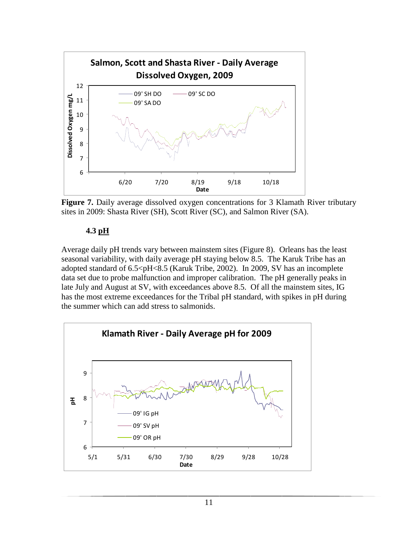

**Figure 7.** Daily average dissolved oxygen concentrations for 3 Klamath River tributary sites in 2009: Shasta River (SH), Scott River (SC), and Salmon River (SA).

#### **4.3 pH**

Average daily pH trends vary between mainstem sites (Figure 8). Orleans has the least seasonal variability, with daily average pH staying below 8.5. The Karuk Tribe has an adopted standard of 6.5<pH<8.5 (Karuk Tribe, 2002). In 2009, SV has an incomplete data set due to probe malfunction and improper calibration. The pH generally peaks in late July and August at SV, with exceedances above 8.5. Of all the mainstem sites, IG has the most extreme exceedances for the Tribal pH standard, with spikes in pH during the summer which can add stress to salmonids.

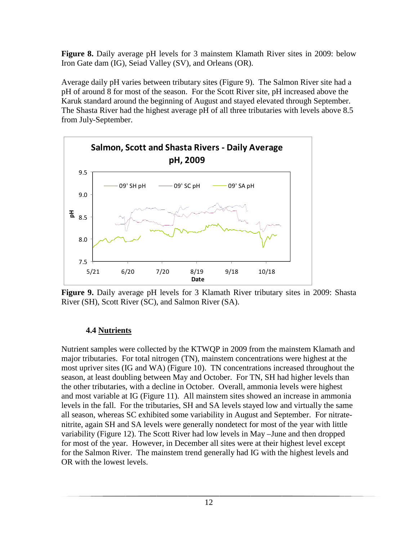**Figure 8.** Daily average pH levels for 3 mainstem Klamath River sites in 2009: below Iron Gate dam (IG), Seiad Valley (SV), and Orleans (OR).

Average daily pH varies between tributary sites (Figure 9). The Salmon River site had a pH of around 8 for most of the season. For the Scott River site, pH increased above the Karuk standard around the beginning of August and stayed elevated through September. The Shasta River had the highest average pH of all three tributaries with levels above 8.5 from July-September.



**Figure 9.** Daily average pH levels for 3 Klamath River tributary sites in 2009: Shasta River (SH), Scott River (SC), and Salmon River (SA).

## **4.4 Nutrients**

Nutrient samples were collected by the KTWQP in 2009 from the mainstem Klamath and major tributaries. For total nitrogen (TN), mainstem concentrations were highest at the most upriver sites (IG and WA) (Figure 10). TN concentrations increased throughout the season, at least doubling between May and October. For TN, SH had higher levels than the other tributaries, with a decline in October. Overall, ammonia levels were highest and most variable at IG (Figure 11). All mainstem sites showed an increase in ammonia levels in the fall. For the tributaries, SH and SA levels stayed low and virtually the same all season, whereas SC exhibited some variability in August and September. For nitratenitrite, again SH and SA levels were generally nondetect for most of the year with little variability (Figure 12). The Scott River had low levels in May –June and then dropped for most of the year. However, in December all sites were at their highest level except for the Salmon River. The mainstem trend generally had IG with the highest levels and OR with the lowest levels.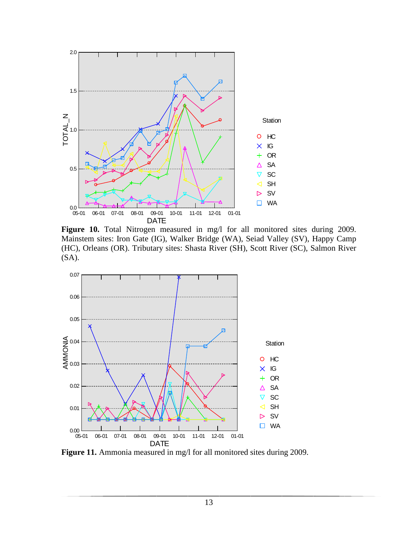

Figure 10. Total Nitrogen measured in mg/l for all monitored sites during 2009. Mainstem sites: Iron Gate (IG), Walker Bridge (WA), Seiad Valley (SV), Happy Camp (HC), Orleans (OR). Tributary sites: Shasta River (SH), Scott River (SC), Salmon River (SA).



Figure 11. Ammonia measured in mg/l for all monitored sites during 2009.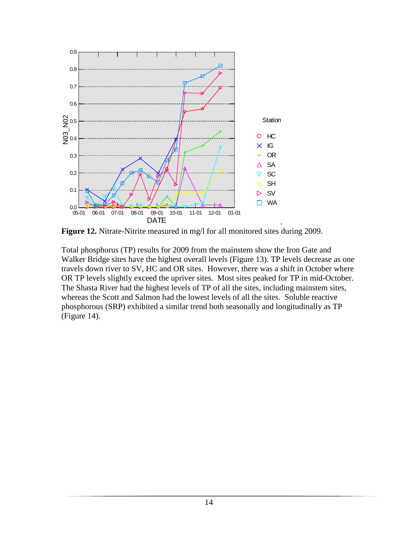

**Figure 12.** Nitrate-Nitrite measured in mg/l for all monitored sites during 2009.

Total phosphorus (TP) results for 2009 from the mainstem show the Iron Gate and Walker Bridge sites have the highest overall levels (Figure 13). TP levels decrease as one travels down river to SV, HC and OR sites. However, there was a shift in October where OR TP levels slightly exceed the upriver sites. Most sites peaked for TP in mid-October. The Shasta River had the highest levels of TP of all the sites, including mainstem sites, whereas the Scott and Salmon had the lowest levels of all the sites. Soluble reactive phosphorous (SRP) exhibited a similar trend both seasonally and longitudinally as TP (Figure 14).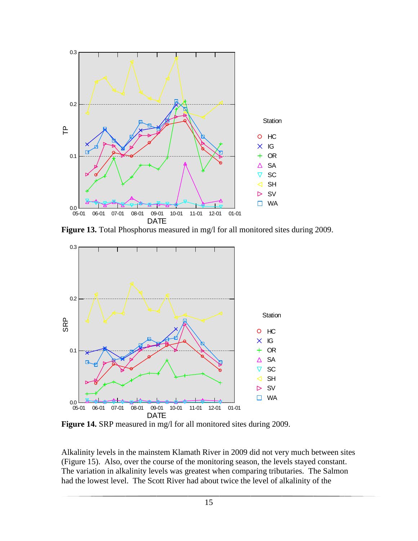

Figure 13. Total Phosphorus measured in mg/l for all monitored sites during 2009.



**Figure 14.** SRP measured in mg/l for all monitored sites during 2009.

Alkalinity levels in the mainstem Klamath River in 2009 did not very much between sites (Figure 15). Also, over the course of the monitoring season, the levels stayed constant. The variation in alkalinity levels was greatest when comparing tributaries. The Salmon had the lowest level. The Scott River had about twice the level of alkalinity of the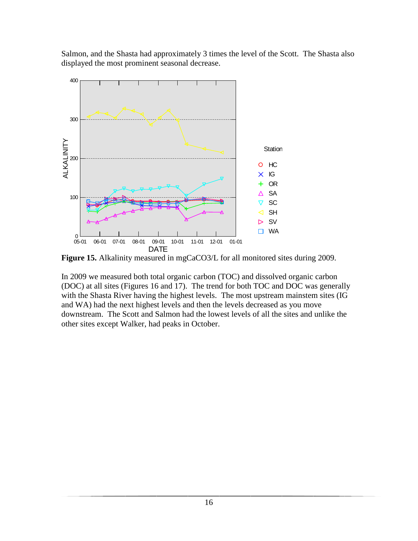Salmon, and the Shasta had approximately 3 times the level of the Scott. The Shasta also displayed the most prominent seasonal decrease.



**Figure 15.** Alkalinity measured in mgCaCO3/L for all monitored sites during 2009.

In 2009 we measured both total organic carbon (TOC) and dissolved organic carbon (DOC) at all sites (Figures 16 and 17). The trend for both TOC and DOC was generally with the Shasta River having the highest levels. The most upstream mainstem sites (IG and WA) had the next highest levels and then the levels decreased as you move downstream. The Scott and Salmon had the lowest levels of all the sites and unlike the other sites except Walker, had peaks in October.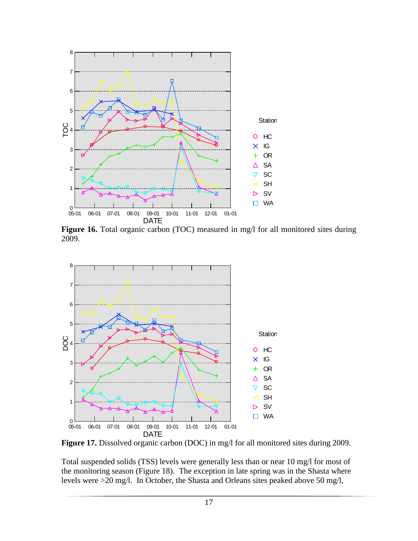

Figure 16. Total organic carbon (TOC) measured in mg/l for all monitored sites during 2009.



Figure 17. Dissolved organic carbon (DOC) in mg/l for all monitored sites during 2009.

Total suspended solids (TSS) levels were generally less than or near 10 mg/l for most of the monitoring season (Figure 18). The exception in late spring was in the Shasta where levels were >20 mg/l. In October, the Shasta and Orleans sites peaked above 50 mg/l,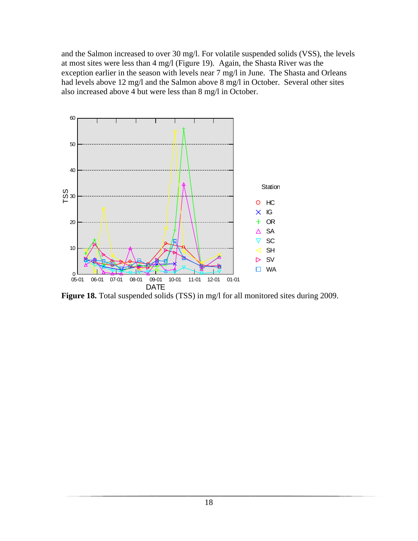and the Salmon increased to over 30 mg/l. For volatile suspended solids (VSS), the levels at most sites were less than 4 mg/l (Figure 19). Again, the Shasta River was the exception earlier in the season with levels near 7 mg/l in June. The Shasta and Orleans had levels above 12 mg/l and the Salmon above 8 mg/l in October. Several other sites also increased above 4 but were less than 8 mg/l in October.



Figure 18. Total suspended solids (TSS) in mg/l for all monitored sites during 2009.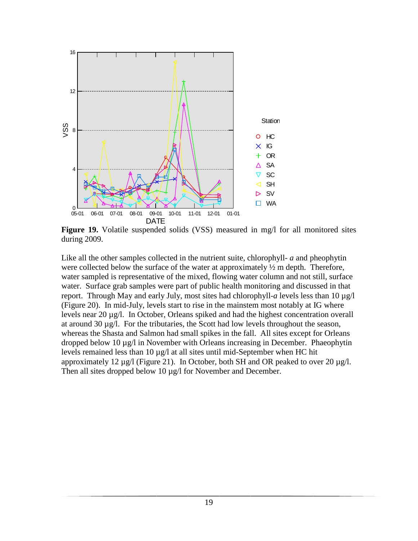

**Figure 19.** Volatile suspended solids (VSS) measured in mg/l for all monitored sites during 2009.

Like all the other samples collected in the nutrient suite, chlorophyll- *a* and pheophytin were collected below the surface of the water at approximately  $\frac{1}{2}$  m depth. Therefore, water sampled is representative of the mixed, flowing water column and not still, surface water. Surface grab samples were part of public health monitoring and discussed in that report. Through May and early July, most sites had chlorophyll-*a* levels less than 10 µg/l (Figure 20). In mid-July, levels start to rise in the mainstem most notably at IG where levels near 20 µg/l. In October, Orleans spiked and had the highest concentration overall at around 30 µg/l. For the tributaries, the Scott had low levels throughout the season, whereas the Shasta and Salmon had small spikes in the fall. All sites except for Orleans dropped below 10 µg/l in November with Orleans increasing in December. Phaeophytin levels remained less than  $10 \mu g/l$  at all sites until mid-September when HC hit approximately 12  $\mu$ g/l (Figure 21). In October, both SH and OR peaked to over 20  $\mu$ g/l. Then all sites dropped below 10 µg/l for November and December.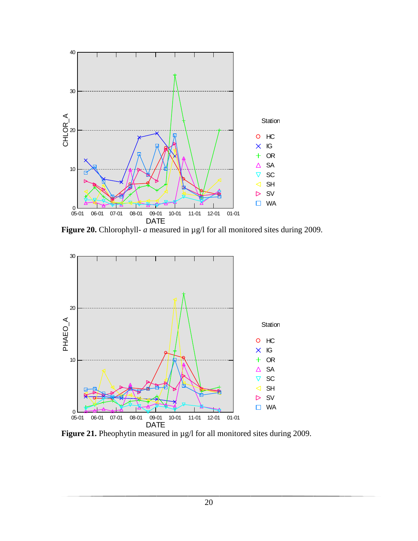

**Figure 20.** Chlorophyll- *a* measured in  $\mu$ g/l for all monitored sites during 2009.



Figure 21. Pheophytin measured in  $\mu$ g/l for all monitored sites during 2009.